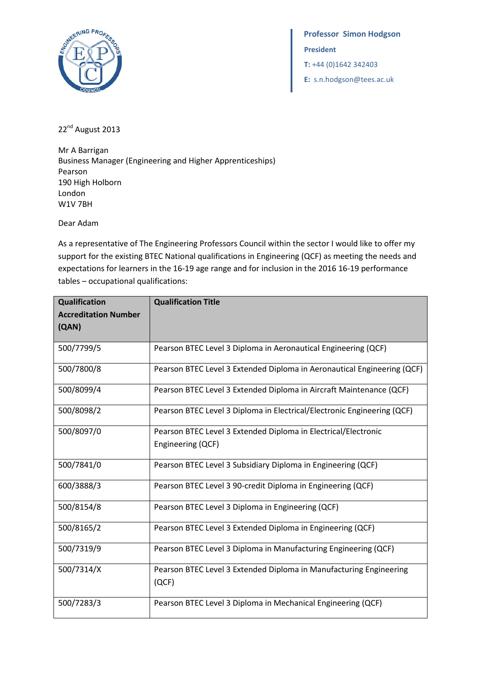

 **Professor Simon Hodgson President T:** +44 (0)1642 342403  **E:** s.n.hodgson@tees.ac.uk

22<sup>nd</sup> August 2013

Mr A Barrigan Business Manager (Engineering and Higher Apprenticeships) Pearson 190 High Holborn London W1V 7BH

Dear Adam

As a representative of The Engineering Professors Council within the sector I would like to offer my support for the existing BTEC National qualifications in Engineering (QCF) as meeting the needs and expectations for learners in the 16-19 age range and for inclusion in the 2016 16-19 performance tables – occupational qualifications:

| Qualification               | <b>Qualification Title</b>                                              |
|-----------------------------|-------------------------------------------------------------------------|
| <b>Accreditation Number</b> |                                                                         |
| (QAN)                       |                                                                         |
| 500/7799/5                  | Pearson BTEC Level 3 Diploma in Aeronautical Engineering (QCF)          |
|                             |                                                                         |
| 500/7800/8                  | Pearson BTEC Level 3 Extended Diploma in Aeronautical Engineering (QCF) |
| 500/8099/4                  | Pearson BTEC Level 3 Extended Diploma in Aircraft Maintenance (QCF)     |
| 500/8098/2                  | Pearson BTEC Level 3 Diploma in Electrical/Electronic Engineering (QCF) |
| 500/8097/0                  | Pearson BTEC Level 3 Extended Diploma in Electrical/Electronic          |
|                             | Engineering (QCF)                                                       |
| 500/7841/0                  | Pearson BTEC Level 3 Subsidiary Diploma in Engineering (QCF)            |
| 600/3888/3                  | Pearson BTEC Level 3 90-credit Diploma in Engineering (QCF)             |
| 500/8154/8                  | Pearson BTEC Level 3 Diploma in Engineering (QCF)                       |
| 500/8165/2                  | Pearson BTEC Level 3 Extended Diploma in Engineering (QCF)              |
| 500/7319/9                  | Pearson BTEC Level 3 Diploma in Manufacturing Engineering (QCF)         |
| 500/7314/X                  | Pearson BTEC Level 3 Extended Diploma in Manufacturing Engineering      |
|                             | (QCF)                                                                   |
| 500/7283/3                  | Pearson BTEC Level 3 Diploma in Mechanical Engineering (QCF)            |